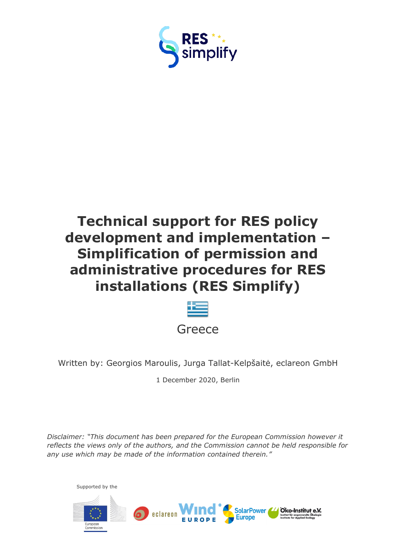



Written by: Georgios Maroulis, Jurga Tallat-Kelpšaitė, eclareon GmbH

1 December 2020, Berlin

*Disclaimer: "This document has been prepared for the European Commission however it reflects the views only of the authors, and the Commission cannot be held responsible for any use which may be made of the information contained therein."*

Supported by the

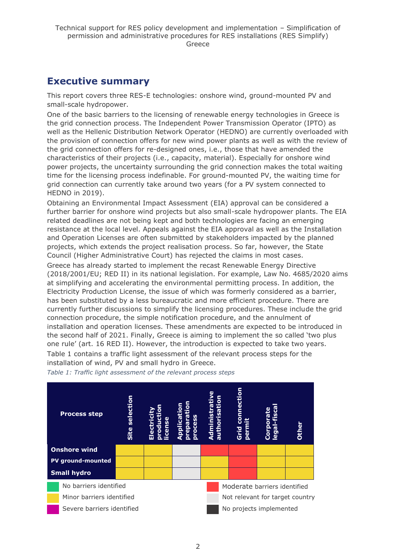## <span id="page-1-0"></span>**Executive summary**

This report covers three RES-E technologies: onshore wind, ground-mounted PV and small-scale hydropower.

One of the basic barriers to the licensing of renewable energy technologies in Greece is the grid connection process. The Independent Power Transmission Operator (IPTO) as well as the Hellenic Distribution Network Operator (HEDNO) are currently overloaded with the provision of connection offers for new wind power plants as well as with the review of the grid connection offers for re-designed ones, i.e., those that have amended the characteristics of their projects (i.e., capacity, material). Especially for onshore wind power projects, the uncertainty surrounding the grid connection makes the total waiting time for the licensing process indefinable. For ground-mounted PV, the waiting time for grid connection can currently take around two years (for a PV system connected to HEDNO in 2019).

Obtaining an Environmental Impact Assessment (EIA) approval can be considered a further barrier for onshore wind projects but also small-scale hydropower plants. The EIA related deadlines are not being kept and both technologies are facing an emerging resistance at the local level. Appeals against the EIA approval as well as the Installation and Operation Licenses are often submitted by stakeholders impacted by the planned projects, which extends the project realisation process. So far, however, the State Council (Higher Administrative Court) has rejected the claims in most cases. Greece has already started to implement the recast Renewable Energy Directive (2018/2001/EU; RED II) in its national legislation. For example, Law No. 4685/2020 aims at simplifying and accelerating the environmental permitting process. In addition, the Electricity Production License, the issue of which was formerly considered as a barrier, has been substituted by a less bureaucratic and more efficient procedure. There are currently further discussions to simplify the licensing procedures. These include the grid

connection procedure, the simple notification procedure, and the annulment of installation and operation licenses. These amendments are expected to be introduced in the second half of 2021. Finally, Greece is aiming to implement the so called 'two plus one rule' (art. 16 RED II). However, the introduction is expected to take two years. Table 1 contains a traffic light assessment of the relevant process steps for the installation of wind, PV and small hydro in Greece.



*Table 1: Traffic light assessment of the relevant process steps*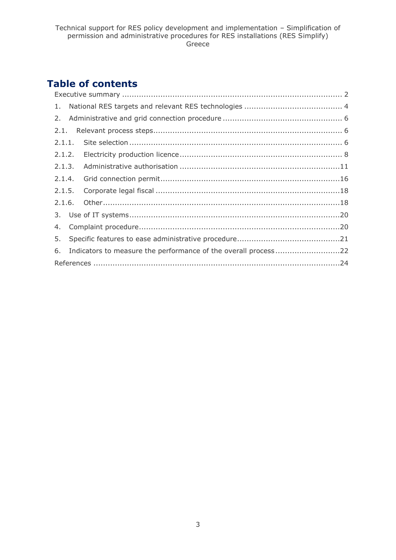# **Table of contents**

| 5. |                                                                   |  |  |  |  |  |  |
|----|-------------------------------------------------------------------|--|--|--|--|--|--|
|    | 6. Indicators to measure the performance of the overall process22 |  |  |  |  |  |  |
|    |                                                                   |  |  |  |  |  |  |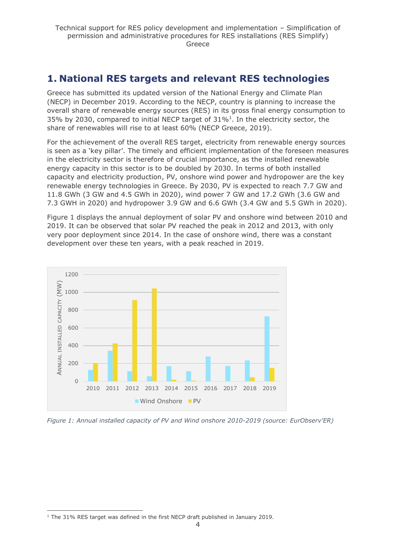# <span id="page-3-0"></span>**1. National RES targets and relevant RES technologies**

Greece has submitted its updated version of the National Energy and Climate Plan (NECP) in December 2019. According to the NECP, country is planning to increase the overall share of renewable energy sources (RES) in its gross final energy consumption to 35% by 2030, compared to initial NECP target of  $31\%$ <sup>1</sup>. In the electricity sector, the share of renewables will rise to at least 60% (NECP Greece, 2019).

For the achievement of the overall RES target, electricity from renewable energy sources is seen as a 'key pillar'. The timely and efficient implementation of the foreseen measures in the electricity sector is therefore of crucial importance, as the installed renewable energy capacity in this sector is to be doubled by 2030. In terms of both installed capacity and electricity production, PV, onshore wind power and hydropower are the key renewable energy technologies in Greece. By 2030, PV is expected to reach 7.7 GW and 11.8 GWh (3 GW and 4.5 GWh in 2020), wind power 7 GW and 17.2 GWh (3.6 GW and 7.3 GWH in 2020) and hydropower 3.9 GW and 6.6 GWh (3.4 GW and 5.5 GWh in 2020).

Figure 1 displays the annual deployment of solar PV and onshore wind between 2010 and 2019. It can be observed that solar PV reached the peak in 2012 and 2013, with only very poor deployment since 2014. In the case of onshore wind, there was a constant development over these ten years, with a peak reached in 2019.



*Figure 1: Annual installed capacity of PV and Wind onshore 2010-2019 (source: EurObserv'ER)*

<sup>&</sup>lt;sup>1</sup> The 31% RES target was defined in the first NECP draft published in January 2019.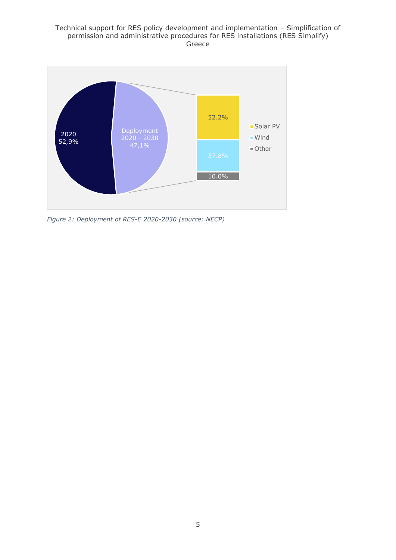

*Figure 2: Deployment of RES-E 2020-2030 (source: NECP)*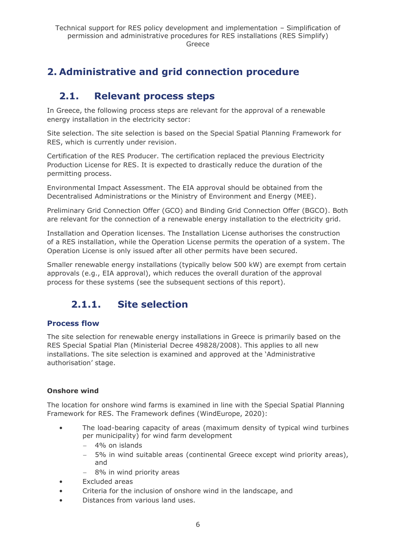# <span id="page-5-0"></span>**2. Administrative and grid connection procedure**

# <span id="page-5-1"></span>**2.1. Relevant process steps**

In Greece, the following process steps are relevant for the approval of a renewable energy installation in the electricity sector:

Site selection. The site selection is based on the Special Spatial Planning Framework for RES, which is currently under revision.

Certification of the RES Producer. The certification replaced the previous Electricity Production License for RES. It is expected to drastically reduce the duration of the permitting process.

Environmental Impact Assessment. The EIA approval should be obtained from the Decentralised Administrations or the Ministry of Environment and Energy (MEE).

Preliminary Grid Connection Offer (GCO) and Binding Grid Connection Offer (BGCO). Both are relevant for the connection of a renewable energy installation to the electricity grid.

Installation and Operation licenses. The Installation License authorises the construction of a RES installation, while the Operation License permits the operation of a system. The Operation License is only issued after all other permits have been secured.

Smaller renewable energy installations (typically below 500 kW) are exempt from certain approvals (e.g., EIA approval), which reduces the overall duration of the approval process for these systems (see the subsequent sections of this report).

# <span id="page-5-2"></span>**2.1.1. Site selection**

### **Process flow**

The site selection for renewable energy installations in Greece is primarily based on the RES Special Spatial Plan (Ministerial Decree 49828/2008). This applies to all new installations. The site selection is examined and approved at the 'Administrative authorisation' stage.

#### **Onshore wind**

The location for onshore wind farms is examined in line with the Special Spatial Planning Framework for RES. The Framework defines (WindEurope, 2020):

- The load-bearing capacity of areas (maximum density of typical wind turbines per municipality) for wind farm development
	- − 4% on islands
	- − 5% in wind suitable areas (continental Greece except wind priority areas), and
	- − 8% in wind priority areas
- Excluded areas
- Criteria for the inclusion of onshore wind in the landscape, and
- Distances from various land uses.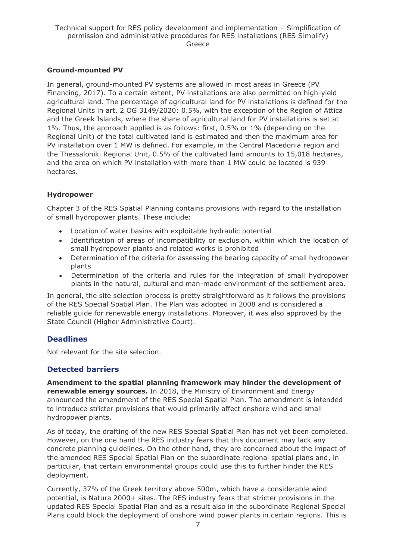#### **Ground-mounted PV**

In general, ground-mounted PV systems are allowed in most areas in Greece (PV Financing, 2017). To a certain extent, PV installations are also permitted on high-yield agricultural land. The percentage of agricultural land for PV installations is defined for the Regional Units in art. 2 OG 3149/2020: 0.5%, with the exception of the Region of Attica and the Greek Islands, where the share of agricultural land for PV installations is set at 1%. Thus, the approach applied is as follows: first, 0.5% or 1% (depending on the Regional Unit) of the total cultivated land is estimated and then the maximum area for PV installation over 1 MW is defined. For example, in the Central Macedonia region and the Thessaloniki Regional Unit, 0.5% of the cultivated land amounts to 15,018 hectares, and the area on which PV installation with more than 1 MW could be located is 939 hectares.

#### **Hydropower**

Chapter 3 of the RES Spatial Planning contains provisions with regard to the installation of small hydropower plants. These include:

- Location of water basins with exploitable hydraulic potential
- Identification of areas of incompatibility or exclusion, within which the location of small hydropower plants and related works is prohibited
- Determination of the criteria for assessing the bearing capacity of small hydropower plants
- Determination of the criteria and rules for the integration of small hydropower plants in the natural, cultural and man-made environment of the settlement area.

In general, the site selection process is pretty straightforward as it follows the provisions of the RES Special Spatial Plan. The Plan was adopted in 2008 and is considered a reliable guide for renewable energy installations. Moreover, it was also approved by the State Council (Higher Administrative Court).

### **Deadlines**

Not relevant for the site selection.

### **Detected barriers**

**Amendment to the spatial planning framework may hinder the development of renewable energy sources.** In 2018, the Ministry of Environment and Energy announced the amendment of the RES Special Spatial Plan. The amendment is intended to introduce stricter provisions that would primarily affect onshore wind and small hydropower plants.

As of today, the drafting of the new RES Special Spatial Plan has not yet been completed. However, on the one hand the RES industry fears that this document may lack any concrete planning guidelines. On the other hand, they are concerned about the impact of the amended RES Special Spatial Plan on the subordinate regional spatial plans and, in particular, that certain environmental groups could use this to further hinder the RES deployment.

Currently, 37% of the Greek territory above 500m, which have a considerable wind potential, is Natura 2000+ sites. The RES industry fears that stricter provisions in the updated RES Special Spatial Plan and as a result also in the subordinate Regional Special Plans could block the deployment of onshore wind power plants in certain regions. This is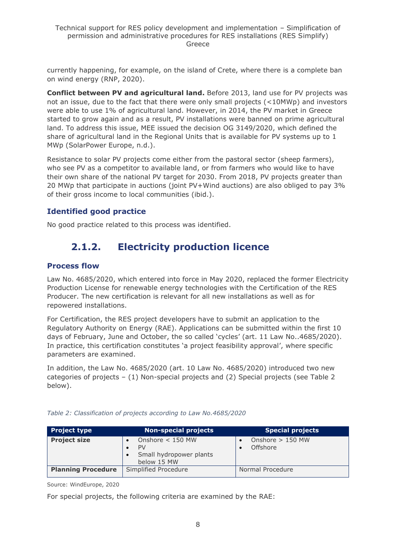currently happening, for example, on the island of Crete, where there is a complete ban on wind energy (RNP, 2020).

**Conflict between PV and agricultural land.** Before 2013, land use for PV projects was not an issue, due to the fact that there were only small projects (<10MWp) and investors were able to use 1% of agricultural land. However, in 2014, the PV market in Greece started to grow again and as a result, PV installations were banned on prime agricultural land. To address this issue, MEE issued the decision OG 3149/2020, which defined the share of agricultural land in the Regional Units that is available for PV systems up to 1 MWp (SolarPower Europe, n.d.).

Resistance to solar PV projects come either from the pastoral sector (sheep farmers), who see PV as a competitor to available land, or from farmers who would like to have their own share of the national PV target for 2030. From 2018, PV projects greater than 20 MWp that participate in auctions (joint PV+Wind auctions) are also obliged to pay 3% of their gross income to local communities (ibid.).

### **Identified good practice**

<span id="page-7-0"></span>No good practice related to this process was identified.

# **2.1.2. Electricity production licence**

#### **Process flow**

Law No. 4685/2020, which entered into force in May 2020, replaced the former Electricity Production License for renewable energy technologies with the Certification of the RES Producer. The new certification is relevant for all new installations as well as for repowered installations.

For Certification, the RES project developers have to submit an application to the Regulatory Authority on Energy (RΑΕ). Applications can be submitted within the first 10 days of February, June and October, the so called 'cycles' (art. 11 Law No..4685/2020). In practice, this certification constitutes 'a project feasibility approval', where specific parameters are examined.

In addition, the Law No. 4685/2020 (art. 10 Law No. 4685/2020) introduced two new categories of projects – (1) Non-special projects and (2) Special projects (see Table 2 below).

| <b>Project type</b>       | <b>Non-special projects</b>                                        | <b>Special projects</b>        |
|---------------------------|--------------------------------------------------------------------|--------------------------------|
| <b>Project size</b>       | Onshore $<$ 150 MW<br>PV<br>Small hydropower plants<br>below 15 MW | Onshore $> 150$ MW<br>Offshore |
| <b>Planning Procedure</b> | Simplified Procedure                                               | Normal Procedure               |

*Table 2: Classification of projects according to Law No.4685/2020*

Source: WindEurope, 2020

For special projects, the following criteria are examined by the RAE: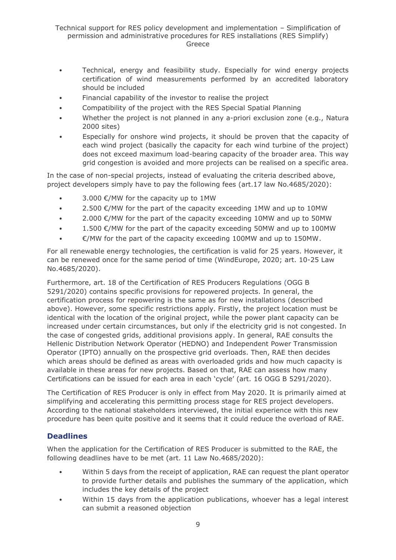- Technical, energy and feasibility study. Especially for wind energy projects certification of wind measurements performed by an accredited laboratory should be included
- Financial capability of the investor to realise the project
- Compatibility of the project with the RES Special Spatial Planning
- Whether the project is not planned in any a-priori exclusion zone (e.g., Natura 2000 sites)
- Especially for onshore wind projects, it should be proven that the capacity of each wind project (basically the capacity for each wind turbine of the project) does not exceed maximum load-bearing capacity of the broader area. This way grid congestion is avoided and more projects can be realised on a specific area.

In the case of non-special projects, instead of evaluating the criteria described above, project developers simply have to pay the following fees (art.17 law No.4685/2020):

- $3.000 \text{ }\epsilon$ /MW for the capacity up to 1MW
- 2.500  $\epsilon$ /MW for the part of the capacity exceeding 1MW and up to 10MW
- 2.000  $\epsilon$ /MW for the part of the capacity exceeding 10MW and up to 50MW
- 1.500  $\epsilon$ /MW for the part of the capacity exceeding 50MW and up to 100MW
- €/MW for the part of the capacity exceeding 100MW and up to 150MW.

For all renewable energy technologies, the certification is valid for 25 years. However, it can be renewed once for the same period of time (WindEurope, 2020; art. 10-25 Law No.4685/2020).

Furthermore, art. 18 of the Certification of RES Producers Regulations (OGG B 5291/2020) contains specific provisions for repowered projects. In general, the certification process for repowering is the same as for new installations (described above). However, some specific restrictions apply. Firstly, the project location must be identical with the location of the original project, while the power plant capacity can be increased under certain circumstances, but only if the electricity grid is not congested. In the case of congested grids, additional provisions apply. In general, RAE consults the Hellenic Distribution Network Operator (HEDNO) and Independent Power Transmission Operator (IPTO) annually on the prospective grid overloads. Then, RAE then decides which areas should be defined as areas with overloaded grids and how much capacity is available in these areas for new projects. Based on that, RAE can assess how many Certifications can be issued for each area in each 'cycle' (art. 16 OGG B 5291/2020).

The Certification of RES Producer is only in effect from May 2020. It is primarily aimed at simplifying and accelerating this permitting process stage for RES project developers. According to the national stakeholders interviewed, the initial experience with this new procedure has been quite positive and it seems that it could reduce the overload of RAE.

### **Deadlines**

When the application for the Certification of RES Producer is submitted to the RAE, the following deadlines have to be met (art. 11 Law No.4685/2020):

- Within 5 days from the receipt of application, RAE can request the plant operator to provide further details and publishes the summary of the application, which includes the key details of the project
- Within 15 days from the application publications, whoever has a legal interest can submit a reasoned objection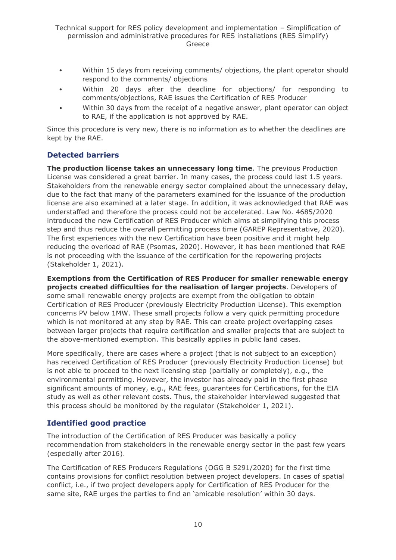- Within 15 days from receiving comments/ objections, the plant operator should respond to the comments/ objections
- Within 20 days after the deadline for objections/ for responding to comments/objections, RAE issues the Certification of RES Producer
- Within 30 days from the receipt of a negative answer, plant operator can object to RAE, if the application is not approved by RAE.

Since this procedure is very new, there is no information as to whether the deadlines are kept by the RAE.

### **Detected barriers**

**The production license takes an unnecessary long time**. The previous Production License was considered a great barrier. In many cases, the process could last 1.5 years. Stakeholders from the renewable energy sector complained about the unnecessary delay, due to the fact that many of the parameters examined for the issuance of the production license are also examined at a later stage. In addition, it was acknowledged that RAE was understaffed and therefore the process could not be accelerated. Law No. 4685/2020 introduced the new Certification of RES Producer which aims at simplifying this process step and thus reduce the overall permitting process time (GAREP Representative, 2020). The first experiences with the new Certification have been positive and it might help reducing the overload of RAE (Psomas, 2020). However, it has been mentioned that RAE is not proceeding with the issuance of the certification for the repowering projects (Stakeholder 1, 2021).

**Exemptions from the Certification of RES Producer for smaller renewable energy projects created difficulties for the realisation of larger projects**. Developers of some small renewable energy projects are exempt from the obligation to obtain Certification of RES Producer (previously Electricity Production License). This exemption concerns PV below 1MW. These small projects follow a very quick permitting procedure which is not monitored at any step by RAE. This can create project overlapping cases between larger projects that require certification and smaller projects that are subject to the above-mentioned exemption. This basically applies in public land cases.

More specifically, there are cases where a project (that is not subject to an exception) has received Certification of RES Producer (previously Electricity Production License) but is not able to proceed to the next licensing step (partially or completely), e.g., the environmental permitting. However, the investor has already paid in the first phase significant amounts of money, e.g., RAE fees, guarantees for Certifications, for the EIA study as well as other relevant costs. Thus, the stakeholder interviewed suggested that this process should be monitored by the regulator (Stakeholder 1, 2021).

### **Identified good practice**

The introduction of the Certification of RES Producer was basically a policy recommendation from stakeholders in the renewable energy sector in the past few years (especially after 2016).

The Certification of RES Producers Regulations (OGG B 5291/2020) for the first time contains provisions for conflict resolution between project developers. In cases of spatial conflict, i.e., if two project developers apply for Certification of RES Producer for the same site, RAE urges the parties to find an 'amicable resolution' within 30 days.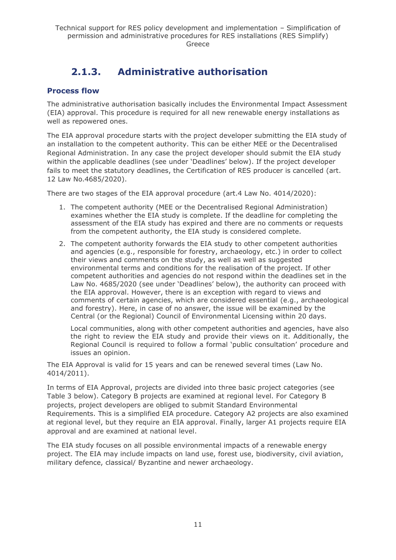# **2.1.3. Administrative authorisation**

### <span id="page-10-0"></span>**Process flow**

The administrative authorisation basically includes the Environmental Impact Assessment (EIA) approval. This procedure is required for all new renewable energy installations as well as repowered ones.

The EIA approval procedure starts with the project developer submitting the EIA study of an installation to the competent authority. This can be either MEE or the Decentralised Regional Administration. In any case the project developer should submit the EIA study within the applicable deadlines (see under 'Deadlines' below). If the project developer fails to meet the statutory deadlines, the Certification of RES producer is cancelled (art. 12 Law No.4685/2020).

There are two stages of the EIA approval procedure (art.4 Law No. 4014/2020):

- 1. The competent authority (MEE or the Decentralised Regional Administration) examines whether the EIA study is complete. If the deadline for completing the assessment of the EIA study has expired and there are no comments or requests from the competent authority, the EIA study is considered complete.
- 2. The competent authority forwards the EIA study to other competent authorities and agencies (e.g., responsible for forestry, archaeology, etc.) in order to collect their views and comments on the study, as well as well as suggested environmental terms and conditions for the realisation of the project. If other competent authorities and agencies do not respond within the deadlines set in the Law No. 4685/2020 (see under 'Deadlines' below), the authority can proceed with the EIA approval. However, there is an exception with regard to views and comments of certain agencies, which are considered essential (e.g., archaeological and forestry). Here, in case of no answer, the issue will be examined by the Central (or the Regional) Council of Environmental Licensing within 20 days.

Local communities, along with other competent authorities and agencies, have also the right to review the EIA study and provide their views on it. Additionally, the Regional Council is required to follow a formal 'public consultation' procedure and issues an opinion.

The EIA Approval is valid for 15 years and can be renewed several times (Law No. 4014/2011).

In terms of EIA Approval, projects are divided into three basic project categories (see Table 3 below). Category B projects are examined at regional level. For Category B projects, project developers are obliged to submit Standard Environmental Requirements. This is a simplified EIA procedure. Category A2 projects are also examined at regional level, but they require an EIA approval. Finally, larger A1 projects require EIA approval and are examined at national level.

The EIA study focuses on all possible environmental impacts of a renewable energy project. The EIA may include impacts on land use, forest use, biodiversity, civil aviation, military defence, classical/ Byzantine and newer archaeology.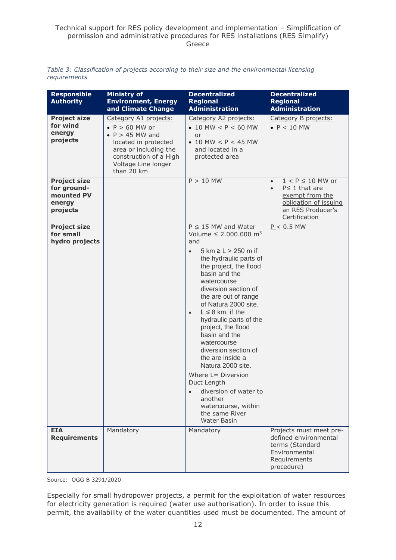|              | Table 3: Classification of projects according to their size and the environmental licensing |  |  |  |  |  |
|--------------|---------------------------------------------------------------------------------------------|--|--|--|--|--|
| requirements |                                                                                             |  |  |  |  |  |

| <b>Responsible</b><br><b>Authority</b>                                 | <b>Ministry of</b><br><b>Environment, Energy</b><br>and Climate Change                                                                                                                     | <b>Decentralized</b><br><b>Regional</b><br><b>Administration</b>                                                                                                                                                                                                                                                                                                                                                                                                                                                                                                                                         | <b>Decentralized</b><br><b>Regional</b><br><b>Administration</b>                                                                                        |
|------------------------------------------------------------------------|--------------------------------------------------------------------------------------------------------------------------------------------------------------------------------------------|----------------------------------------------------------------------------------------------------------------------------------------------------------------------------------------------------------------------------------------------------------------------------------------------------------------------------------------------------------------------------------------------------------------------------------------------------------------------------------------------------------------------------------------------------------------------------------------------------------|---------------------------------------------------------------------------------------------------------------------------------------------------------|
| <b>Project size</b><br>for wind<br>energy<br>projects                  | Category A1 projects:<br>$\bullet$ P > 60 MW or<br>$\bullet$ P > 45 MW and<br>located in protected<br>area or including the<br>construction of a High<br>Voltage Line longer<br>than 20 km | Category A2 projects:<br>• 10 MW $< P < 60$ MW<br>or<br>• 10 MW $< P < 45$ MW<br>and located in a<br>protected area                                                                                                                                                                                                                                                                                                                                                                                                                                                                                      | Category B projects:<br>$\bullet$ P < 10 MW                                                                                                             |
| <b>Project size</b><br>for ground-<br>mounted PV<br>energy<br>projects |                                                                                                                                                                                            | $P > 10$ MW                                                                                                                                                                                                                                                                                                                                                                                                                                                                                                                                                                                              | $1 < P \le 10$ MW or<br>$\bullet$<br>$P \leq 1$ that are<br>$\bullet$<br>exempt from the<br>obligation of issuing<br>an RES Producer's<br>Certification |
| <b>Project size</b><br>for small<br>hydro projects                     |                                                                                                                                                                                            | $P \leq 15$ MW and Water<br>Volume $\leq 2.000.000$ m <sup>3</sup><br>and<br>5 km ≥ L > 250 m if<br>$\bullet$<br>the hydraulic parts of<br>the project, the flood<br>basin and the<br>watercourse<br>diversion section of<br>the are out of range<br>of Natura 2000 site.<br>$L \leq 8$ km, if the<br>$\bullet$<br>hydraulic parts of the<br>project, the flood<br>basin and the<br>watercourse<br>diversion section of<br>the are inside a<br>Natura 2000 site.<br>Where L= Diversion<br>Duct Length<br>diversion of water to<br>another<br>watercourse, within<br>the same River<br><b>Water Basin</b> | $P < 0.5$ MW                                                                                                                                            |
| <b>EIA</b><br><b>Requirements</b>                                      | Mandatory                                                                                                                                                                                  | Mandatory                                                                                                                                                                                                                                                                                                                                                                                                                                                                                                                                                                                                | Projects must meet pre-<br>defined environmental<br>terms (Standard<br>Environmental<br>Requirements<br>procedure)                                      |

Source: OGG B 3291/2020

Especially for small hydropower projects, a permit for the exploitation of water resources for electricity generation is required (water use authorisation). In order to issue this permit, the availability of the water quantities used must be documented. The amount of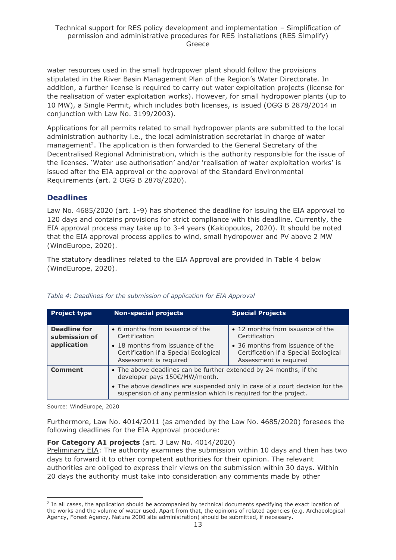water resources used in the small hydropower plant should follow the provisions stipulated in the River Basin Management Plan of the Region's Water Directorate. In addition, a further license is required to carry out water exploitation projects (license for the realisation of water exploitation works). However, for small hydropower plants (up to 10 MW), a Single Permit, which includes both licenses, is issued (OGG B 2878/2014 in conjunction with Law No. 3199/2003).

Applications for all permits related to small hydropower plants are submitted to the local administration authority i.e., the local administration secretariat in charge of water management<sup>2</sup>. The application is then forwarded to the General Secretary of the Decentralised Regional Administration, which is the authority responsible for the issue of the licenses. 'Water use authorisation' and/or 'realisation of water exploitation works' is issued after the EIA approval or the approval of the Standard Environmental Requirements (art. 2 OGG B 2878/2020).

#### **Deadlines**

Law No. 4685/2020 (art. 1-9) has shortened the deadline for issuing the EIA approval to 120 days and contains provisions for strict compliance with this deadline. Currently, the EIA approval process may take up to 3-4 years (Kakiopoulos, 2020). It should be noted that the EIA approval process applies to wind, small hydropower and PV above 2 MW (WindEurope, 2020).

The statutory deadlines related to the EIA Approval are provided in Table 4 below (WindEurope, 2020).

| <b>Project type</b>                  | <b>Non-special projects</b>                                                                                                                     | <b>Special Projects</b>                                                                             |  |  |  |
|--------------------------------------|-------------------------------------------------------------------------------------------------------------------------------------------------|-----------------------------------------------------------------------------------------------------|--|--|--|
| <b>Deadline for</b><br>submission of | • 6 months from issuance of the<br>Certification                                                                                                | • 12 months from issuance of the<br>Certification                                                   |  |  |  |
| application                          | • 18 months from issuance of the<br>Certification if a Special Ecological<br>Assessment is required                                             | • 36 months from issuance of the<br>Certification if a Special Ecological<br>Assessment is required |  |  |  |
| <b>Comment</b>                       | • The above deadlines can be further extended by 24 months, if the<br>developer pays 150€/MW/month.                                             |                                                                                                     |  |  |  |
|                                      | • The above deadlines are suspended only in case of a court decision for the<br>suspension of any permission which is required for the project. |                                                                                                     |  |  |  |

#### *Table 4: Deadlines for the submission of application for EIA Approval*

Source: WindEurope, 2020

Furthermore, Law No. 4014/2011 (as amended by the Law No. 4685/2020) foresees the following deadlines for the EIA Approval procedure:

#### **For Category A1 projects** (art. 3 Law No. 4014/2020)

Preliminary EIA: The authority examines the submission within 10 days and then has two days to forward it to other competent authorities for their opinion. The relevant authorities are obliged to express their views on the submission within 30 days. Within 20 days the authority must take into consideration any comments made by other

<sup>&</sup>lt;sup>2</sup> In all cases, the application should be accompanied by technical documents specifying the exact location of the works and the volume of water used. Apart from that, the opinions of related agencies (e.g. Archaeological Agency, Forest Agency, Natura 2000 site administration) should be submitted, if necessary.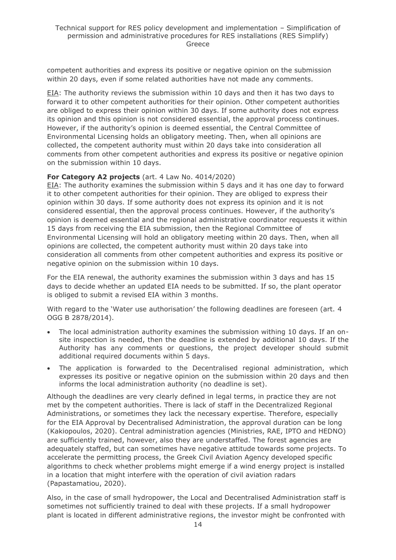competent authorities and express its positive or negative opinion on the submission within 20 days, even if some related authorities have not made any comments.

EIA: The authority reviews the submission within 10 days and then it has two days to forward it to other competent authorities for their opinion. Other competent authorities are obliged to express their opinion within 30 days. If some authority does not express its opinion and this opinion is not considered essential, the approval process continues. However, if the authority's opinion is deemed essential, the Central Committee of Environmental Licensing holds an obligatory meeting. Then, when all opinions are collected, the competent authority must within 20 days take into consideration all comments from other competent authorities and express its positive or negative opinion on the submission within 10 days.

#### **For Category A2 projects** (art. 4 Law No. 4014/2020)

EIA: The authority examines the submission within 5 days and it has one day to forward it to other competent authorities for their opinion. They are obliged to express their opinion within 30 days. If some authority does not express its opinion and it is not considered essential, then the approval process continues. However, if the authority's opinion is deemed essential and the regional administrative coordinator requests it within 15 days from receiving the EIA submission, then the Regional Committee of Environmental Licensing will hold an obligatory meeting within 20 days. Then, when all opinions are collected, the competent authority must within 20 days take into consideration all comments from other competent authorities and express its positive or negative opinion on the submission within 10 days.

For the EIA renewal, the authority examines the submission within 3 days and has 15 days to decide whether an updated EIA needs to be submitted. If so, the plant operator is obliged to submit a revised EIA within 3 months.

With regard to the 'Water use authorisation' the following deadlines are foreseen (art. 4 OGG B 2878/2014).

- The local administration authority examines the submission withing 10 days. If an onsite inspection is needed, then the deadline is extended by additional 10 days. If the Authority has any comments or questions, the project developer should submit additional required documents within 5 days.
- The application is forwarded to the Decentralised regional administration, which expresses its positive or negative opinion on the submission within 20 days and then informs the local administration authority (no deadline is set).

Although the deadlines are very clearly defined in legal terms, in practice they are not met by the competent authorities. There is lack of staff in the Decentralized Regional Administrations, or sometimes they lack the necessary expertise. Therefore, especially for the EIA Approval by Decentralised Administration, the approval duration can be long (Kakiopoulos, 2020). Central administration agencies (Ministries, RAE, IPTO and HEDNO) are sufficiently trained, however, also they are understaffed. The forest agencies are adequately staffed, but can sometimes have negative attitude towards some projects. To accelerate the permitting process, the Greek Civil Aviation Agency developed specific algorithms to check whether problems might emerge if a wind energy project is installed in a location that might interfere with the operation of civil aviation radars (Papastamatiou, 2020).

Also, in the case of small hydropower, the Local and Decentralised Administration staff is sometimes not sufficiently trained to deal with these projects. If a small hydropower plant is located in different administrative regions, the investor might be confronted with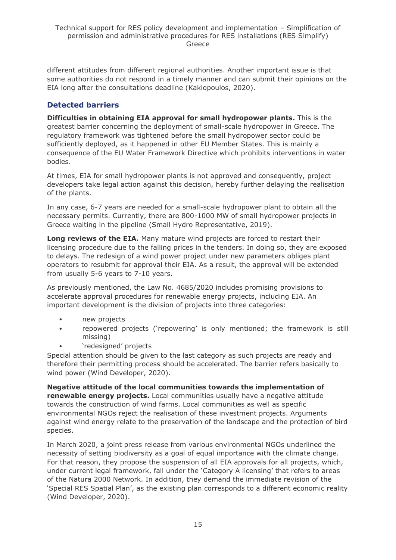different attitudes from different regional authorities. Another important issue is that some authorities do not respond in a timely manner and can submit their opinions on the EIA long after the consultations deadline (Kakiopoulos, 2020).

### **Detected barriers**

**Difficulties in obtaining EIA approval for small hydropower plants.** This is the greatest barrier concerning the deployment of small-scale hydropower in Greece. The regulatory framework was tightened before the small hydropower sector could be sufficiently deployed, as it happened in other EU Member States. This is mainly a consequence of the EU Water Framework Directive which prohibits interventions in water bodies.

At times, EIA for small hydropower plants is not approved and consequently, project developers take legal action against this decision, hereby further delaying the realisation of the plants.

In any case, 6-7 years are needed for a small-scale hydropower plant to obtain all the necessary permits. Currently, there are 800-1000 MW of small hydropower projects in Greece waiting in the pipeline (Small Hydro Representative, 2019).

**Long reviews of the EIA.** Many mature wind projects are forced to restart their licensing procedure due to the falling prices in the tenders. In doing so, they are exposed to delays. The redesign of a wind power project under new parameters obliges plant operators to resubmit for approval their EIA. As a result, the approval will be extended from usually 5-6 years to 7-10 years.

As previously mentioned, the Law No. 4685/2020 includes promising provisions to accelerate approval procedures for renewable energy projects, including EIA. An important development is the division of projects into three categories:

- new projects
- repowered projects ('repowering' is only mentioned; the framework is still missing)
- 'redesigned' projects

Special attention should be given to the last category as such projects are ready and therefore their permitting process should be accelerated. The barrier refers basically to wind power (Wind Developer, 2020).

**Negative attitude of the local communities towards the implementation of renewable energy projects.** Local communities usually have a negative attitude towards the construction of wind farms. Local communities as well as specific environmental NGOs reject the realisation of these investment projects. Arguments against wind energy relate to the preservation of the landscape and the protection of bird species.

In March 2020, a joint press release from various environmental NGOs underlined the necessity of setting biodiversity as a goal of equal importance with the climate change. For that reason, they propose the suspension of all EIA approvals for all projects, which, under current legal framework, fall under the 'Category A licensing' that refers to areas of the Natura 2000 Network. In addition, they demand the immediate revision of the 'Special RES Spatial Plan', as the existing plan corresponds to a different economic reality (Wind Developer, 2020).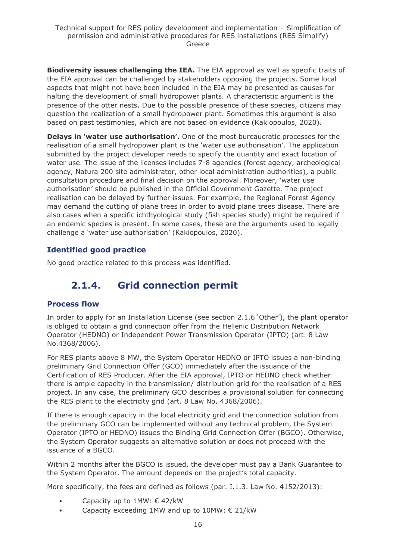**Biodiversity issues challenging the IEA.** The EIA approval as well as specific traits of the EIA approval can be challenged by stakeholders opposing the projects. Some local aspects that might not have been included in the EIA may be presented as causes for halting the development of small hydropower plants. A characteristic argument is the presence of the otter nests. Due to the possible presence of these species, citizens may question the realization of a small hydropower plant. Sometimes this argument is also based on past testimonies, which are not based on evidence (Kakiopoulos, 2020).

**Delays in 'water use authorisation'.** One of the most bureaucratic processes for the realisation of a small hydropower plant is the 'water use authorisation'. The application submitted by the project developer needs to specify the quantity and exact location of water use. The issue of the licenses includes 7-8 agencies (forest agency, archeological agency, Natura 200 site administrator, other local administration authorities), a public consultation procedure and final decision on the approval. Moreover, 'water use authorisation' should be published in the Official Government Gazette. The project realisation can be delayed by further issues. For example, the Regional Forest Agency may demand the cutting of plane trees in order to avoid plane trees disease. There are also cases when a specific ichthyological study (fish species study) might be required if an endemic species is present. In some cases, these are the arguments used to legally challenge a 'water use authorisation' (Kakiopoulos, 2020).

### **Identified good practice**

<span id="page-15-0"></span>No good practice related to this process was identified.

# **2.1.4. Grid connection permit**

### **Process flow**

In order to apply for an Installation License (see section 2.1.6 'Other'), the plant operator is obliged to obtain a grid connection offer from the Hellenic Distribution Network Operator (HEDNO) or Independent Power Transmission Operator (IPTO) (art. 8 Law No.4368/2006).

For RES plants above 8 MW, the System Operator HEDNO or IPTO issues a non-binding preliminary Grid Connection Offer (GCO) immediately after the issuance of the Certification of RES Producer. After the EIA approval, IPTO or HEDNO check whether there is ample capacity in the transmission/ distribution grid for the realisation of a RES project. In any case, the preliminary GCO describes a provisional solution for connecting the RES plant to the electricity grid (art. 8 Law No. 4368/2006).

If there is enough capacity in the local electricity grid and the connection solution from the preliminary GCO can be implemented without any technical problem, the System Operator (IPTO or HEDNO) issues the Binding Grid Connection Offer (BGCO). Otherwise, the System Operator suggests an alternative solution or does not proceed with the issuance of a BGCO.

Within 2 months after the BGCO is issued, the developer must pay a Bank Guarantee to the System Operator. The amount depends on the project's total capacity.

More specifically, the fees are defined as follows (par. I.1.3. Law No. 4152/2013):

- Capacity up to  $1MW: \in 42/kW$
- Capacity exceeding 1MW and up to 10MW: € 21/kW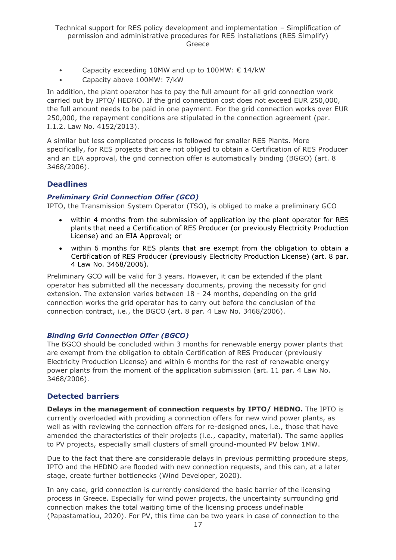- Capacity exceeding 10MW and up to 100MW:  $\epsilon$  14/kW
- Capacity above 100MW: 7/kW

In addition, the plant operator has to pay the full amount for all grid connection work carried out by IPTO/ HEDNO. If the grid connection cost does not exceed EUR 250,000, the full amount needs to be paid in one payment. For the grid connection works over EUR 250,000, the repayment conditions are stipulated in the connection agreement (par. I.1.2. Law No. 4152/2013).

A similar but less complicated process is followed for smaller RES Plants. More specifically, for RES projects that are not obliged to obtain a Certification of RES Producer and an EIA approval, the grid connection offer is automatically binding (BGGO) (art. 8 3468/2006).

### **Deadlines**

#### *Preliminary Grid Connection Offer (GCO)*

IPTO, the Transmission System Operator (TSO), is obliged to make a preliminary GCO

- within 4 months from the submission of application by the plant operator for RES plants that need a Certification of RES Producer (or previously Electricity Production License) and an EIA Approval; or
- within 6 months for RES plants that are exempt from the obligation to obtain a Certification of RES Producer (previously Electricity Production License) (art. 8 par. 4 Law No. 3468/2006).

Preliminary GCO will be valid for 3 years. However, it can be extended if the plant operator has submitted all the necessary documents, proving the necessity for grid extension. The extension varies between 18 - 24 months, depending on the grid connection works the grid operator has to carry out before the conclusion of the connection contract, i.e., the BGCO (art. 8 par. 4 Law No. 3468/2006).

### *Binding Grid Connection Offer (BGCO)*

The BGCO should be concluded within 3 months for renewable energy power plants that are exempt from the obligation to obtain Certification of RES Producer (previously Electricity Production License) and within 6 months for the rest of renewable energy power plants from the moment of the application submission (art. 11 par. 4 Law No. 3468/2006).

### **Detected barriers**

**Delays in the management of connection requests by IPTO/ HEDNO.** The IPTO is currently overloaded with providing a connection offers for new wind power plants, as well as with reviewing the connection offers for re-designed ones, i.e., those that have amended the characteristics of their projects (i.e., capacity, material). The same applies to PV projects, especially small clusters of small ground-mounted PV below 1MW.

Due to the fact that there are considerable delays in previous permitting procedure steps, IPTO and the HEDNO are flooded with new connection requests, and this can, at a later stage, create further bottlenecks (Wind Developer, 2020).

In any case, grid connection is currently considered the basic barrier of the licensing process in Greece. Especially for wind power projects, the uncertainty surrounding grid connection makes the total waiting time of the licensing process undefinable (Papastamatiou, 2020). For PV, this time can be two years in case of connection to the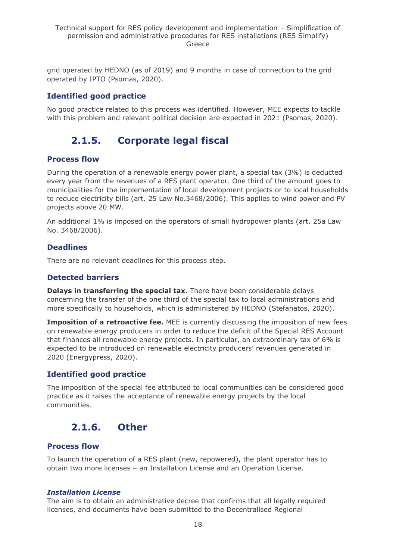grid operated by HEDNO (as of 2019) and 9 months in case of connection to the grid operated by IPTO (Psomas, 2020).

### **Identified good practice**

<span id="page-17-0"></span>No good practice related to this process was identified. However, MEE expects to tackle with this problem and relevant political decision are expected in 2021 (Psomas, 2020).

# **2.1.5. Corporate legal fiscal**

### **Process flow**

During the operation of a renewable energy power plant, a special tax (3%) is deducted every year from the revenues of a RES plant operator. One third of the amount goes to municipalities for the implementation of local development projects or to local households to reduce electricity bills (art. 25 Law No.3468/2006). This applies to wind power and PV projects above 20 MW.

An additional 1% is imposed on the operators of small hydropower plants (art. 25a Law No. 3468/2006).

### **Deadlines**

There are no relevant deadlines for this process step.

### **Detected barriers**

**Delays in transferring the special tax.** There have been considerable delays concerning the transfer of the one third of the special tax to local administrations and more specifically to households, which is administered by HEDNO (Stefanatos, 2020).

**Imposition of a retroactive fee.** MEE is currently discussing the imposition of new fees on renewable energy producers in order to reduce the deficit of the Special RES Account that finances all renewable energy projects. In particular, an extraordinary tax of 6% is expected to be introduced on renewable electricity producers' revenues generated in 2020 (Energypress, 2020).

### **Identified good practice**

The imposition of the special fee attributed to local communities can be considered good practice as it raises the acceptance of renewable energy projects by the local communities.

# <span id="page-17-1"></span>**2.1.6. Other**

### **Process flow**

To launch the operation of a RES plant (new, repowered), the plant operator has to obtain two more licenses – an Installation License and an Operation License.

#### *Installation License*

The aim is to obtain an administrative decree that confirms that all legally required licenses, and documents have been submitted to the Decentralised Regional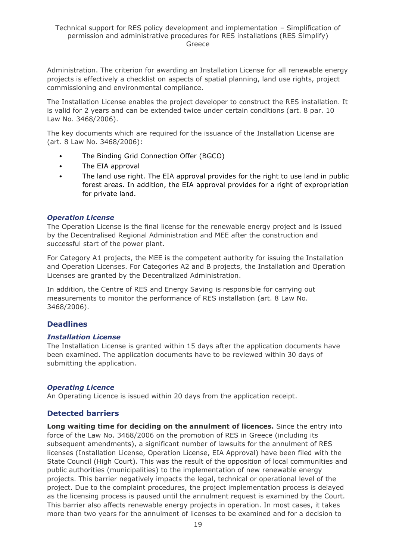Administration. The criterion for awarding an Installation License for all renewable energy projects is effectively a checklist on aspects of spatial planning, land use rights, project commissioning and environmental compliance.

The Installation License enables the project developer to construct the RES installation. It is valid for 2 years and can be extended twice under certain conditions (art. 8 par. 10 Law No. 3468/2006).

The key documents which are required for the issuance of the Installation License are (art. 8 Law No. 3468/2006):

- The Binding Grid Connection Offer (BGCO)
- The EIA approval
- The land use right. The EIA approval provides for the right to use land in public forest areas. In addition, the EIA approval provides for a right of expropriation for private land.

#### *Operation License*

The Operation License is the final license for the renewable energy project and is issued by the Decentralised Regional Administration and MEE after the construction and successful start of the power plant.

For Category A1 projects, the MEE is the competent authority for issuing the Installation and Operation Licenses. For Categories A2 and B projects, the Installation and Operation Licenses are granted by the Decentralized Administration.

In addition, the Centre of RES and Energy Saving is responsible for carrying out measurements to monitor the performance of RES installation (art. 8 Law No. 3468/2006).

#### **Deadlines**

#### *Installation License*

The Installation License is granted within 15 days after the application documents have been examined. The application documents have to be reviewed within 30 days of submitting the application.

#### *Operating Licence*

An Operating Licence is issued within 20 days from the application receipt.

### **Detected barriers**

**Long waiting time for deciding on the annulment of licences.** Since the entry into force of the Law No. 3468/2006 on the promotion of RES in Greece (including its subsequent amendments), a significant number of lawsuits for the annulment of RES licenses (Installation License, Operation License, EIA Approval) have been filed with the State Council (High Court). This was the result of the opposition of local communities and public authorities (municipalities) to the implementation of new renewable energy projects. This barrier negatively impacts the legal, technical or operational level of the project. Due to the complaint procedures, the project implementation process is delayed as the licensing process is paused until the annulment request is examined by the Court. This barrier also affects renewable energy projects in operation. In most cases, it takes more than two years for the annulment of licenses to be examined and for a decision to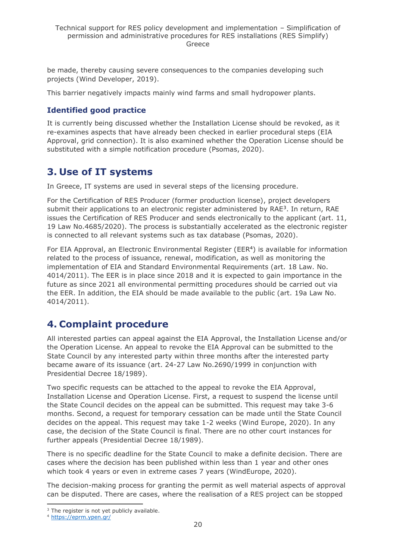be made, thereby causing severe consequences to the companies developing such projects (Wind Developer, 2019).

This barrier negatively impacts mainly wind farms and small hydropower plants.

### **Identified good practice**

It is currently being discussed whether the Installation License should be revoked, as it re-examines aspects that have already been checked in earlier procedural steps (EIA Approval, grid connection). It is also examined whether the Operation License should be substituted with a simple notification procedure (Psomas, 2020).

# <span id="page-19-0"></span>**3. Use of IT systems**

In Greece, IT systems are used in several steps of the licensing procedure.

For the Certification of RES Producer (former production license), project developers submit their applications to an electronic register administered by  $RAE<sup>3</sup>$ . In return,  $RAE$ issues the Certification of RES Producer and sends electronically to the applicant (art. 11, 19 Law No.4685/2020). The process is substantially accelerated as the electronic register is connected to all relevant systems such as tax database (Psomas, 2020).

For EIA Approval, an Electronic Environmental Register (EER<sup>4</sup>) is available for information related to the process of issuance, renewal, modification, as well as monitoring the implementation of EIA and Standard Environmental Requirements (art. 18 Law. No. 4014/2011). The EER is in place since 2018 and it is expected to gain importance in the future as since 2021 all environmental permitting procedures should be carried out via the EER. In addition, the EIA should be made available to the public (art. 19a Law No. 4014/2011).

# <span id="page-19-1"></span>**4. Complaint procedure**

All interested parties can appeal against the EIA Approval, the Installation License and/or the Operation License. An appeal to revoke the EIA Approval can be submitted to the State Council by any interested party within three months after the interested party became aware of its issuance (art. 24-27 Law No.2690/1999 in conjunction with Presidential Decree 18/1989).

Two specific requests can be attached to the appeal to revoke the EIA Approval, Installation License and Operation License. First, a request to suspend the license until the State Council decides on the appeal can be submitted. This request may take 3-6 months. Second, a request for temporary cessation can be made until the State Council decides on the appeal. This request may take 1-2 weeks (Wind Europe, 2020). In any case, the decision of the State Council is final. There are no other court instances for further appeals (Presidential Decree 18/1989).

There is no specific deadline for the State Council to make a definite decision. There are cases where the decision has been published within less than 1 year and other ones which took 4 years or even in extreme cases 7 years (WindEurope, 2020).

The decision-making process for granting the permit as well material aspects of approval can be disputed. There are cases, where the realisation of a RES project can be stopped

<sup>&</sup>lt;sup>3</sup> The register is not yet publicly available.

<sup>4</sup> <https://eprm.ypen.gr/>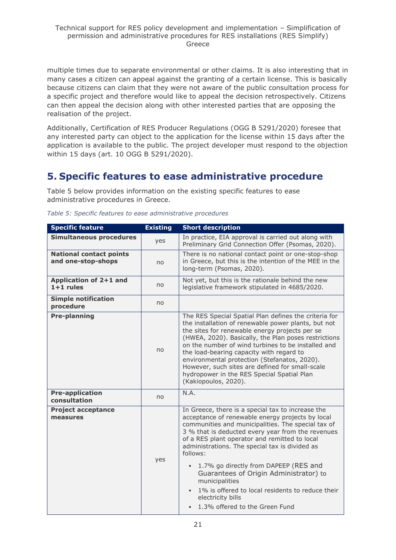multiple times due to separate environmental or other claims. It is also interesting that in many cases a citizen can appeal against the granting of a certain license. This is basically because citizens can claim that they were not aware of the public consultation process for a specific project and therefore would like to appeal the decision retrospectively. Citizens can then appeal the decision along with other interested parties that are opposing the realisation of the project.

Additionally, Certification of RES Producer Regulations (OGG B 5291/2020) foresee that any interested party can object to the application for the license within 15 days after the application is available to the public. The project developer must respond to the objection within 15 days (art. 10 OGG B 5291/2020).

# <span id="page-20-0"></span>**5. Specific features to ease administrative procedure**

Table 5 below provides information on the existing specific features to ease administrative procedures in Greece.

| <b>Specific feature</b>                              | <b>Existing</b> | <b>Short description</b>                                                                                                                                                                                                                                                                                                                                                                                                                                                                                                                                                  |
|------------------------------------------------------|-----------------|---------------------------------------------------------------------------------------------------------------------------------------------------------------------------------------------------------------------------------------------------------------------------------------------------------------------------------------------------------------------------------------------------------------------------------------------------------------------------------------------------------------------------------------------------------------------------|
| <b>Simultaneous procedures</b>                       | yes             | In practice, EIA approval is carried out along with<br>Preliminary Grid Connection Offer (Psomas, 2020).                                                                                                                                                                                                                                                                                                                                                                                                                                                                  |
| <b>National contact points</b><br>and one-stop-shops | no              | There is no national contact point or one-stop-shop<br>in Greece, but this is the intention of the MEE in the<br>long-term (Psomas, 2020).                                                                                                                                                                                                                                                                                                                                                                                                                                |
| Application of 2+1 and<br>$1+1$ rules                | no              | Not yet, but this is the rationale behind the new<br>legislative framework stipulated in 4685/2020.                                                                                                                                                                                                                                                                                                                                                                                                                                                                       |
| <b>Simple notification</b><br>procedure              | no              |                                                                                                                                                                                                                                                                                                                                                                                                                                                                                                                                                                           |
| <b>Pre-planning</b>                                  | no              | The RES Special Spatial Plan defines the criteria for<br>the installation of renewable power plants, but not<br>the sites for renewable energy projects per se<br>(HWEA, 2020). Basically, the Plan poses restrictions<br>on the number of wind turbines to be installed and<br>the load-bearing capacity with regard to<br>environmental protection (Stefanatos, 2020).<br>However, such sites are defined for small-scale<br>hydropower in the RES Special Spatial Plan<br>(Kakiopoulos, 2020).                                                                         |
| <b>Pre-application</b><br>consultation               | no              | N.A.                                                                                                                                                                                                                                                                                                                                                                                                                                                                                                                                                                      |
| <b>Project acceptance</b><br>measures                | yes             | In Greece, there is a special tax to increase the<br>acceptance of renewable energy projects by local<br>communities and municipalities. The special tax of<br>3 % that is deducted every year from the revenues<br>of a RES plant operator and remitted to local<br>administrations. The special tax is divided as<br>follows:<br>1.7% go directly from DAPEEP (RES and<br>$\bullet$<br>Guarantees of Origin Administrator) to<br>municipalities<br>1% is offered to local residents to reduce their<br>$\bullet$<br>electricity bills<br>1.3% offered to the Green Fund |

*Table 5: Specific features to ease administrative procedures*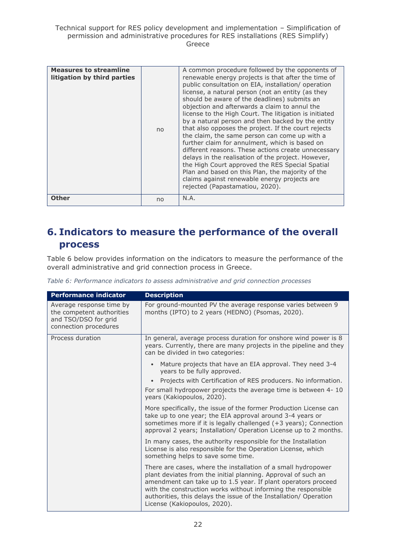| <b>Measures to streamline</b><br>litigation by third parties | no | A common procedure followed by the opponents of<br>renewable energy projects is that after the time of<br>public consultation on EIA, installation/operation<br>license, a natural person (not an entity (as they<br>should be aware of the deadlines) submits an<br>objection and afterwards a claim to annul the<br>license to the High Court. The litigation is initiated<br>by a natural person and then backed by the entity<br>that also opposes the project. If the court rejects<br>the claim, the same person can come up with a<br>further claim for annulment, which is based on<br>different reasons. These actions create unnecessary<br>delays in the realisation of the project. However,<br>the High Court approved the RES Special Spatial<br>Plan and based on this Plan, the majority of the<br>claims against renewable energy projects are<br>rejected (Papastamatiou, 2020). |
|--------------------------------------------------------------|----|----------------------------------------------------------------------------------------------------------------------------------------------------------------------------------------------------------------------------------------------------------------------------------------------------------------------------------------------------------------------------------------------------------------------------------------------------------------------------------------------------------------------------------------------------------------------------------------------------------------------------------------------------------------------------------------------------------------------------------------------------------------------------------------------------------------------------------------------------------------------------------------------------|
| Other                                                        | no | N.A.                                                                                                                                                                                                                                                                                                                                                                                                                                                                                                                                                                                                                                                                                                                                                                                                                                                                                               |

# <span id="page-21-0"></span>**6. Indicators to measure the performance of the overall process**

Table 6 below provides information on the indicators to measure the performance of the overall administrative and grid connection process in Greece.

*Table 6: Performance indicators to assess administrative and grid connection processes*

| <b>Performance indicator</b>                                                                           | <b>Description</b>                                                                                                                                                                                                                                                                                                                                                    |
|--------------------------------------------------------------------------------------------------------|-----------------------------------------------------------------------------------------------------------------------------------------------------------------------------------------------------------------------------------------------------------------------------------------------------------------------------------------------------------------------|
| Average response time by<br>the competent authorities<br>and TSO/DSO for grid<br>connection procedures | For ground-mounted PV the average response varies between 9<br>months (IPTO) to 2 years (HEDNO) (Psomas, 2020).                                                                                                                                                                                                                                                       |
| Process duration                                                                                       | In general, average process duration for onshore wind power is 8<br>years. Currently, there are many projects in the pipeline and they<br>can be divided in two categories:                                                                                                                                                                                           |
|                                                                                                        | Mature projects that have an EIA approval. They need 3-4<br>years to be fully approved.                                                                                                                                                                                                                                                                               |
|                                                                                                        | Projects with Certification of RES producers. No information.                                                                                                                                                                                                                                                                                                         |
|                                                                                                        | For small hydropower projects the average time is between 4-10<br>years (Kakiopoulos, 2020).                                                                                                                                                                                                                                                                          |
|                                                                                                        | More specifically, the issue of the former Production License can<br>take up to one year; the EIA approval around 3-4 years or<br>sometimes more if it is legally challenged (+3 years); Connection<br>approval 2 years; Installation/ Operation License up to 2 months.                                                                                              |
|                                                                                                        | In many cases, the authority responsible for the Installation<br>License is also responsible for the Operation License, which<br>something helps to save some time.                                                                                                                                                                                                   |
|                                                                                                        | There are cases, where the installation of a small hydropower<br>plant deviates from the initial planning. Approval of such an<br>amendment can take up to 1.5 year. If plant operators proceed<br>with the construction works without informing the responsible<br>authorities, this delays the issue of the Installation/ Operation<br>License (Kakiopoulos, 2020). |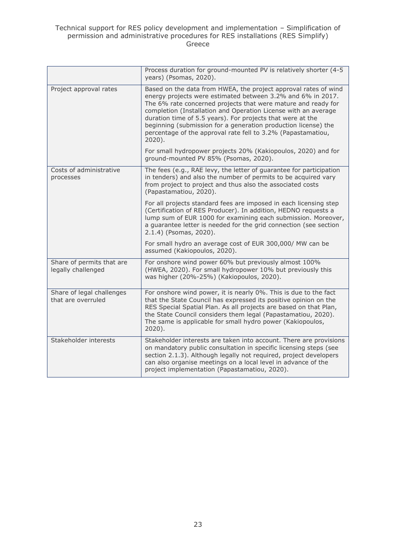|                                                 | Process duration for ground-mounted PV is relatively shorter (4-5<br>years) (Psomas, 2020).                                                                                                                                                                                                                                                                                                                                                                                    |
|-------------------------------------------------|--------------------------------------------------------------------------------------------------------------------------------------------------------------------------------------------------------------------------------------------------------------------------------------------------------------------------------------------------------------------------------------------------------------------------------------------------------------------------------|
| Project approval rates                          | Based on the data from HWEA, the project approval rates of wind<br>energy projects were estimated between 3.2% and 6% in 2017.<br>The 6% rate concerned projects that were mature and ready for<br>completion (Installation and Operation License with an average<br>duration time of 5.5 years). For projects that were at the<br>beginning (submission for a generation production license) the<br>percentage of the approval rate fell to 3.2% (Papastamatiou,<br>$2020$ ). |
|                                                 | For small hydropower projects 20% (Kakiopoulos, 2020) and for<br>ground-mounted PV 85% (Psomas, 2020).                                                                                                                                                                                                                                                                                                                                                                         |
| Costs of administrative<br>processes            | The fees (e.g., RAE levy, the letter of guarantee for participation<br>in tenders) and also the number of permits to be acquired vary<br>from project to project and thus also the associated costs<br>(Papastamatiou, 2020).                                                                                                                                                                                                                                                  |
|                                                 | For all projects standard fees are imposed in each licensing step<br>(Certification of RES Producer). In addition, HEDNO requests a<br>lump sum of EUR 1000 for examining each submission. Moreover,<br>a guarantee letter is needed for the grid connection (see section<br>2.1.4) (Psomas, 2020).                                                                                                                                                                            |
|                                                 | For small hydro an average cost of EUR 300,000/ MW can be<br>assumed (Kakiopoulos, 2020).                                                                                                                                                                                                                                                                                                                                                                                      |
| Share of permits that are<br>legally challenged | For onshore wind power 60% but previously almost 100%<br>(HWEA, 2020). For small hydropower 10% but previously this<br>was higher (20%-25%) (Kakiopoulos, 2020).                                                                                                                                                                                                                                                                                                               |
| Share of legal challenges<br>that are overruled | For onshore wind power, it is nearly 0%. This is due to the fact<br>that the State Council has expressed its positive opinion on the<br>RES Special Spatial Plan. As all projects are based on that Plan,<br>the State Council considers them legal (Papastamatiou, 2020).<br>The same is applicable for small hydro power (Kakiopoulos,<br>2020).                                                                                                                             |
| Stakeholder interests                           | Stakeholder interests are taken into account. There are provisions<br>on mandatory public consultation in specific licensing steps (see<br>section 2.1.3). Although legally not required, project developers<br>can also organise meetings on a local level in advance of the<br>project implementation (Papastamatiou, 2020).                                                                                                                                                 |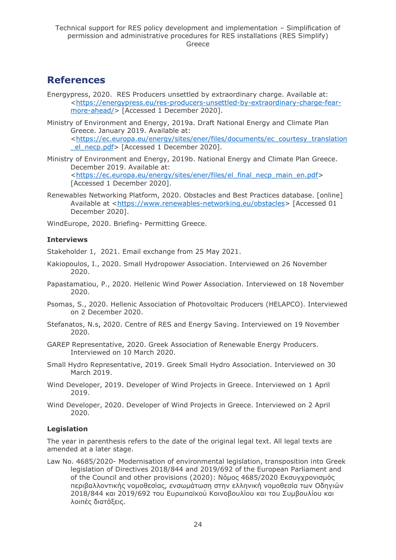## <span id="page-23-0"></span>**References**

Energypress, 2020. RES Producers unsettled by extraordinary charge. Available at: [<https://energypress.eu/res-producers-unsettled-by-extraordinary-charge-fear](https://energypress.eu/res-producers-unsettled-by-extraordinary-charge-fear-more-ahead/)[more-ahead/>](https://energypress.eu/res-producers-unsettled-by-extraordinary-charge-fear-more-ahead/) [Accessed 1 December 2020].

Ministry of Environment and Energy, 2019a. Draft National Energy and Climate Plan Greece. January 2019. Available at: [<https://ec.europa.eu/energy/sites/ener/files/documents/ec\\_courtesy\\_translation](https://ec.europa.eu/energy/sites/ener/files/documents/ec_courtesy_translation_el_necp.pdf) el\_necp.pdf> [Accessed 1 December 2020].

- Ministry of Environment and Energy, 2019b. National Energy and Climate Plan Greece. December 2019. Available at: [<https://ec.europa.eu/energy/sites/ener/files/el\\_final\\_necp\\_main\\_en.pdf>](https://ec.europa.eu/energy/sites/ener/files/el_final_necp_main_en.pdf) [Accessed 1 December 2020].
- Renewables Networking Platform, 2020. Obstacles and Best Practices database. [online] Available at [<https://www.renewables-networking.eu/obstacles>](https://www.renewables-networking.eu/obstacles) [Accessed 01 December 2020].

WindEurope, 2020. Briefing- Permitting Greece.

### **Interviews**

Stakeholder 1, 2021. Email exchange from 25 May 2021.

- Kakiopoulos, I., 2020. Small Hydropower Association. Interviewed on 26 November 2020.
- Papastamatiou, P., 2020. Hellenic Wind Power Association. Interviewed on 18 November 2020.
- Psomas, S., 2020. Hellenic Association of Photovoltaic Producers (HELAPCO). Interviewed on 2 December 2020.
- Stefanatos, N.s, 2020. Centre of RES and Energy Saving. Interviewed on 19 November 2020.
- GAREP Representative, 2020. Greek Association of Renewable Energy Producers. Interviewed on 10 March 2020.
- Small Hydro Representative, 2019. Greek Small Hydro Association. Interviewed on 30 March 2019.
- Wind Developer, 2019. Developer of Wind Projects in Greece. Interviewed on 1 April 2019.
- Wind Developer, 2020. Developer of Wind Projects in Greece. Interviewed on 2 April 2020.

#### **Legislation**

The year in parenthesis refers to the date of the original legal text. All legal texts are amended at a later stage.

Law No. 4685/2020- Modernisation of environmental legislation, transposition into Greek legislation of Directives 2018/844 and 2019/692 of the European Parliament and of the Council and other provisions (2020): Νόμος 4685/2020 Εκσυγχρονισμός περιβαλλοντικής νομοθεσίας, ενσωμάτωση στην ελληνική νομοθεσία των Οδηγιών 2018/844 και 2019/692 του Ευρωπαϊκού Κοινοβουλίου και του Συμβουλίου και λοιπές διατάξεις.